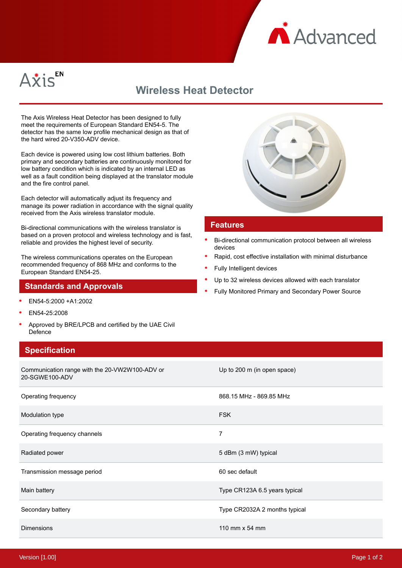



# **Wireless Heat Detector**

The Axis Wireless Heat Detector has been designed to fully meet the requirements of European Standard EN54-5. The detector has the same low profile mechanical design as that of the hard wired 20-V350-ADV device.

Each device is powered using low cost lithium batteries. Both primary and secondary batteries are continuously monitored for low battery condition which is indicated by an internal LED as well as a fault condition being displayed at the translator module and the fire control panel.

Each detector will automatically adjust its frequency and manage its power radiation in accordance with the signal quality received from the Axis wireless translator module.

Bi-directional communications with the wireless translator is based on a proven protocol and wireless technology and is fast, reliable and provides the highest level of security.

The wireless communications operates on the European recommended frequency of 868 MHz and conforms to the European Standard EN54-25.

### **Standards and Approvals**

- EN54-5:2000 +A1:2002
- EN54-25:2008
- Approved by BRE/LPCB and certified by the UAE Civil Defence

### **Specification**





#### **Features**

- Bi-directional communication protocol between all wireless devices
- Rapid, cost effective installation with minimal disturbance
- Fully Intelligent devices
- Up to 32 wireless devices allowed with each translator
- Fully Monitored Primary and Secondary Power Source